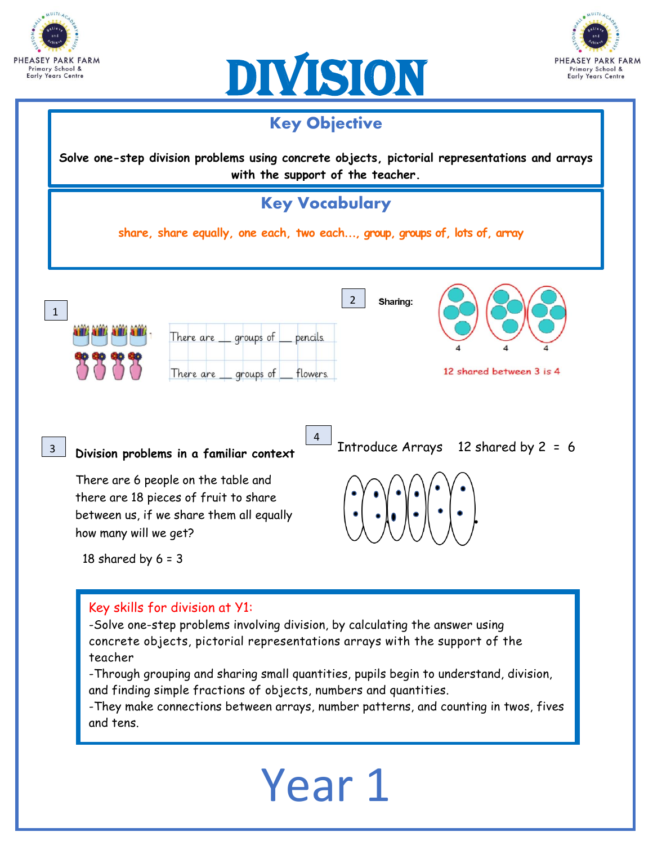







-Through grouping and sharing small quantities, pupils begin to understand, division, and finding simple fractions of objects, numbers and quantities.

-They make connections between arrays, number patterns, and counting in twos, fives and tens.

# Year 1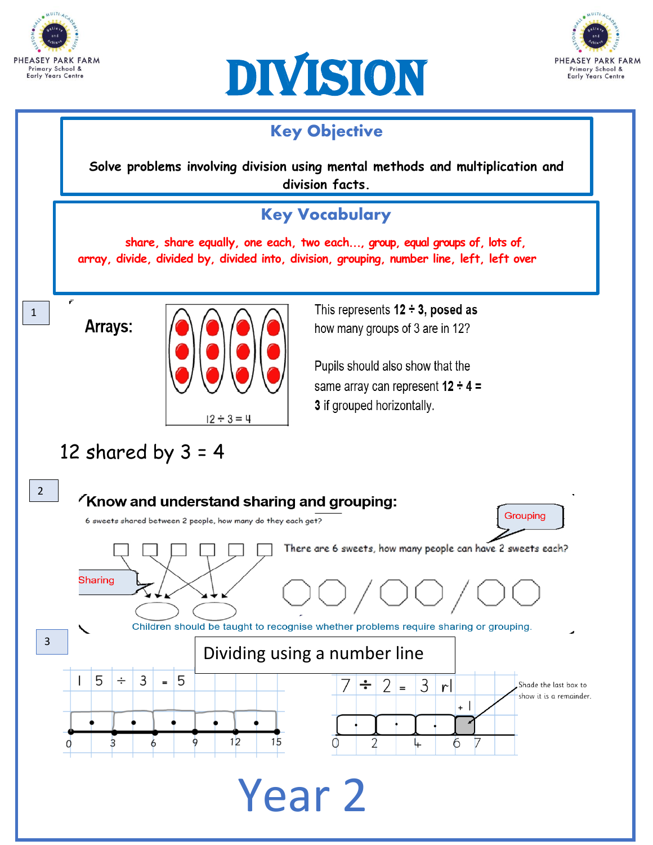





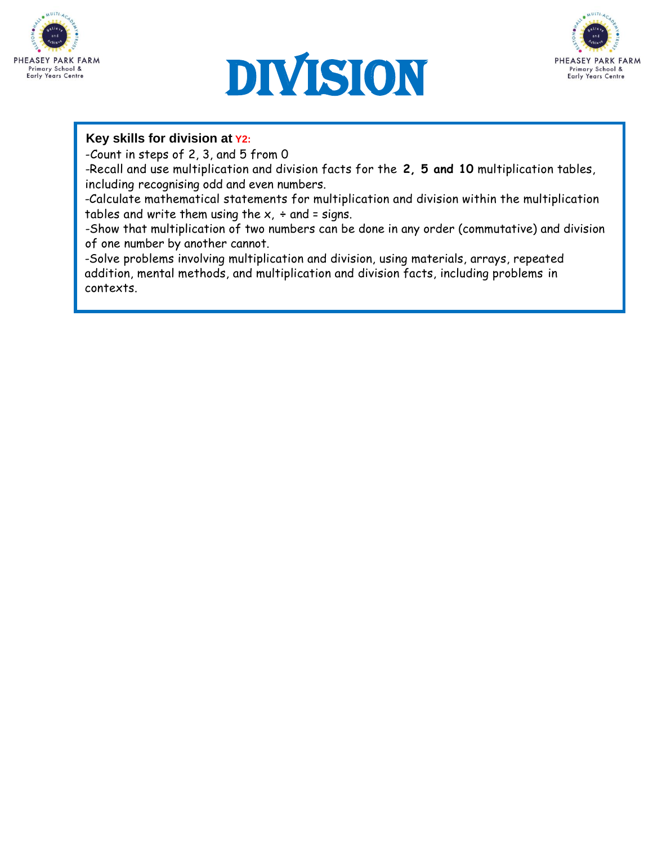





### **Key skills for division at Y2:**

-Count in steps of 2, 3, and 5 from 0

-Recall and use multiplication and division facts for the **2, 5 and 10** multiplication tables, including recognising odd and even numbers.

-Calculate mathematical statements for multiplication and division within the multiplication tables and write them using the  $x$ ,  $\div$  and = signs.

-Show that multiplication of two numbers can be done in any order (commutative) and division of one number by another cannot.

-Solve problems involving multiplication and division, using materials, arrays, repeated addition, mental methods, and multiplication and division facts, including problems in contexts.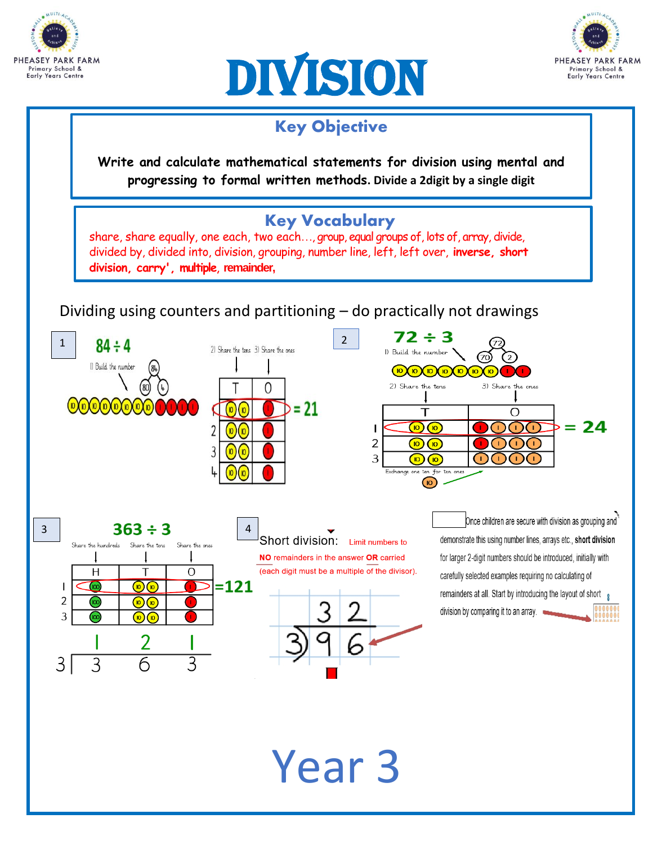





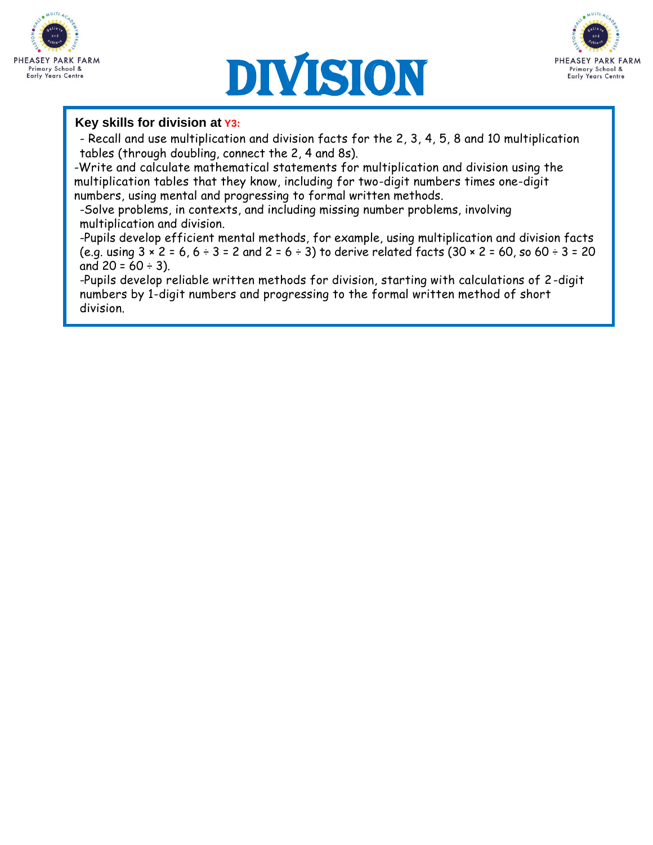





### **Key skills for division at Y3:**

- Recall and use multiplication and division facts for the 2, 3, 4, 5, 8 and 10 multiplication tables (through doubling, connect the 2, 4 and 8s).

-Write and calculate mathematical statements for multiplication and division using the multiplication tables that they know, including for two-digit numbers times one-digit numbers, using mental and progressing to formal written methods.

-Solve problems, in contexts, and including missing number problems, involving multiplication and division.

-Pupils develop efficient mental methods, for example, using multiplication and division facts (e.g. using  $3 \times 2 = 6$ ,  $6 \div 3 = 2$  and  $2 = 6 \div 3$ ) to derive related facts (30  $\times$  2 = 60, so 60  $\div 3 = 20$ and  $20 = 60 \div 3$ ).

-Pupils develop reliable written methods for division, starting with calculations of 2-digit numbers by 1-digit numbers and progressing to the formal written method of short division.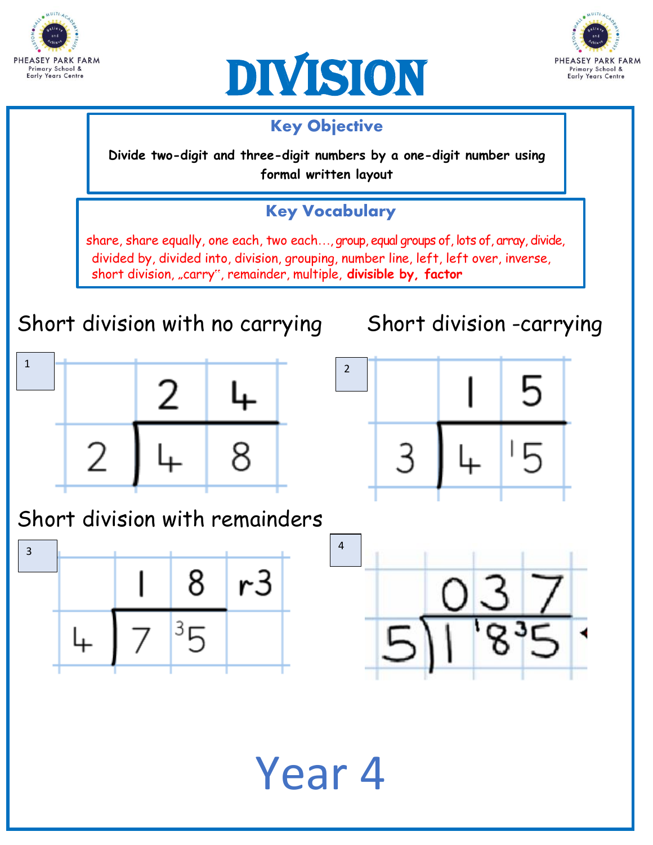





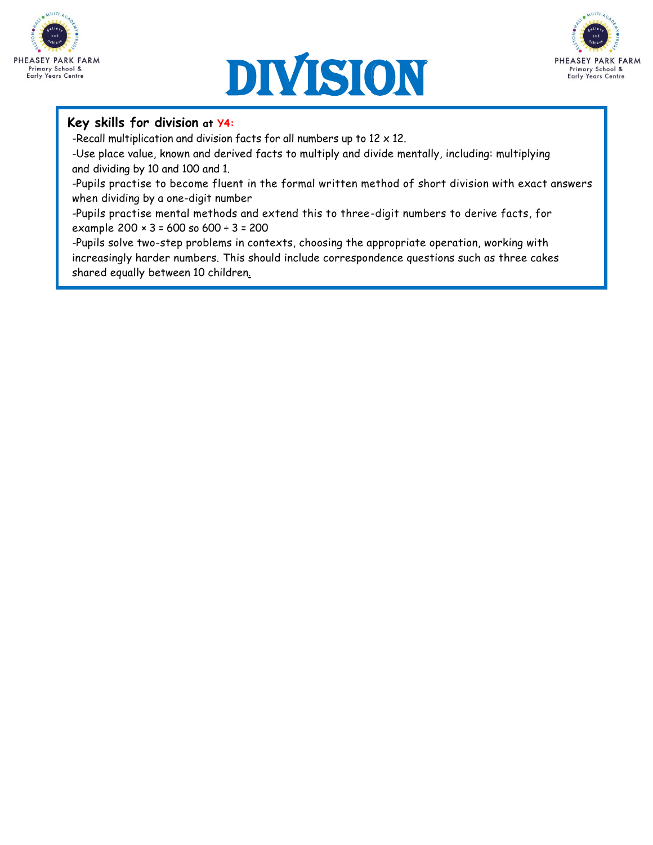





#### **Key skills for division at Y4:**

-Recall multiplication and division facts for all numbers up to  $12 \times 12$ .

-Use place value, known and derived facts to multiply and divide mentally, including: multiplying and dividing by 10 and 100 and 1.

-Pupils practise to become fluent in the formal written method of short division with exact answers when dividing by a one-digit number

-Pupils practise mental methods and extend this to three-digit numbers to derive facts, for example 200 × 3 = 600 so 600 ÷ 3 = 200

-Pupils solve two-step problems in contexts, choosing the appropriate operation, working with increasingly harder numbers. This should include correspondence questions such as three cakes shared equally between 10 children.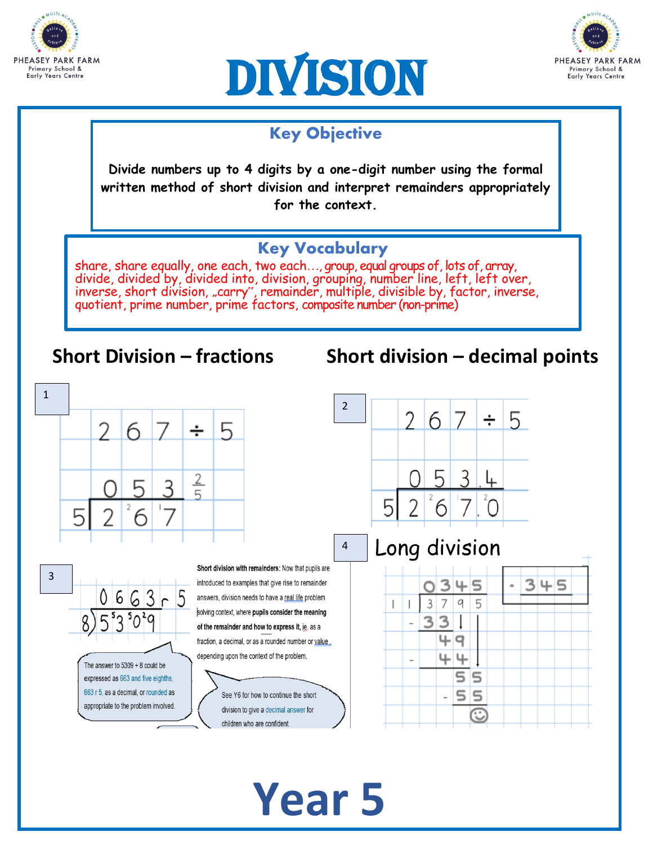





# Key Objective

**Divide numbers up to 4 digits by a one-digit number using the formal written method of short division and interpret remainders appropriately for the context.**

## Key Vocabulary

share, share equally, one each, two each..., group, equal groups of, lots of, array, divide, divided by, divided into, division, grouping, number line, left, left over, inverse, short division, "carry", remainder, multiple, divisible by, factor, inverse, quotient, prime number, prime factors, composite number (non-prime)

# **Short Division – fractions Short division – decimal points**



**Year 5**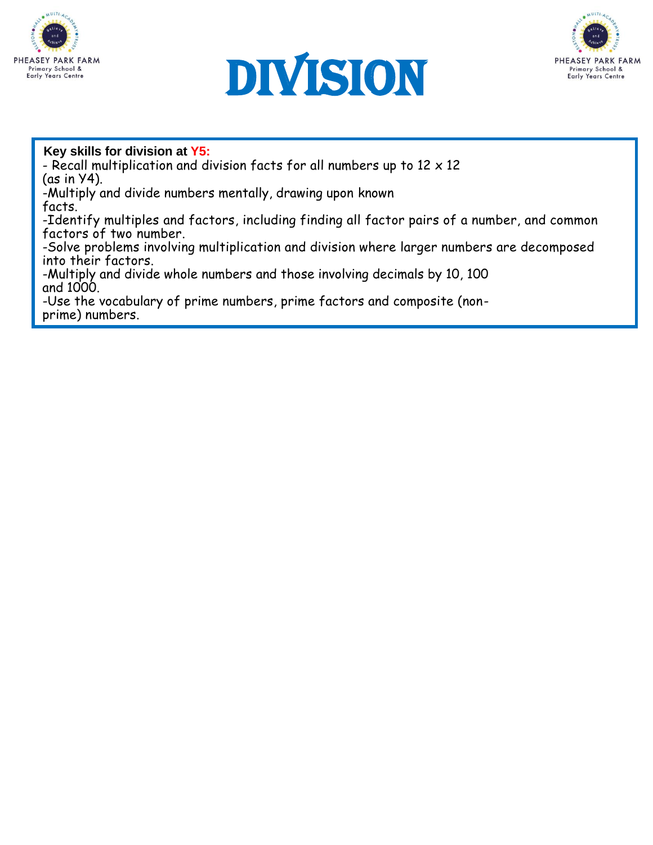





#### **Key skills for division at Y5:**

- Recall multiplication and division facts for all numbers up to  $12 \times 12$ (as in Y4).

-Multiply and divide numbers mentally, drawing upon known facts.

-Identify multiples and factors, including finding all factor pairs of a number, and common factors of two number.

-Solve problems involving multiplication and division where larger numbers are decomposed into their factors.

-Multiply and divide whole numbers and those involving decimals by 10, 100 and 1000.

-Use the vocabulary of prime numbers, prime factors and composite (nonprime) numbers. Work out whether a number  $\alpha$  number  $\alpha$  is prime and recall prime and recall prime and recall prime and recall prime and  $\alpha$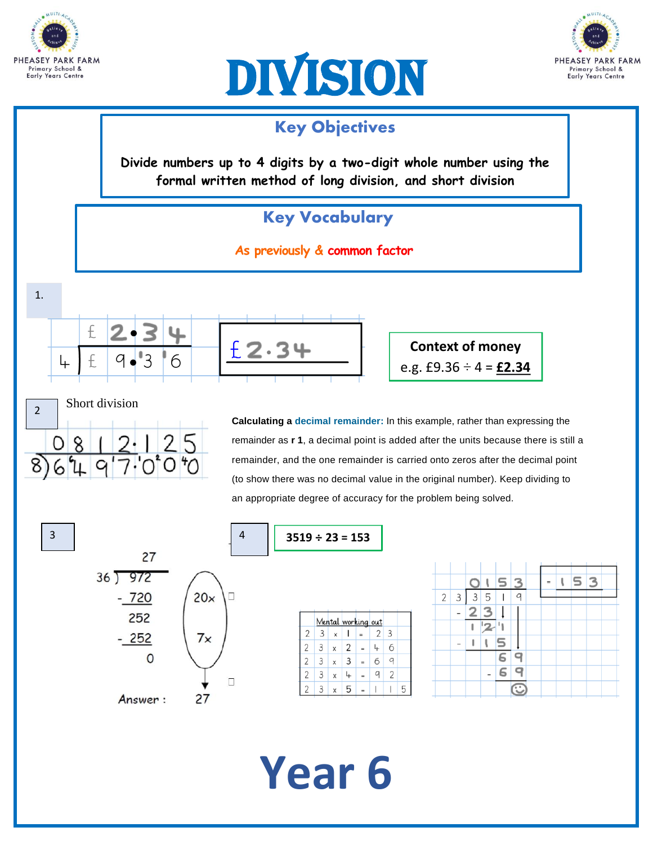





### Key Objectives

**Divide numbers up to 4 digits by a two-digit whole number using the formal written method of long division, and short division**

# Key Vocabulary

**As previously & common factor**





3

**Calculating a decimal remainder:** In this example, rather than expressing the remainder as **r 1**, a decimal point is added after the units because there is still a remainder, and the one remainder is carried onto zeros after the decimal point (to show there was no decimal value in the original number). Keep dividing to an appropriate degree of accuracy for the problem being solved.





# **Year 6**